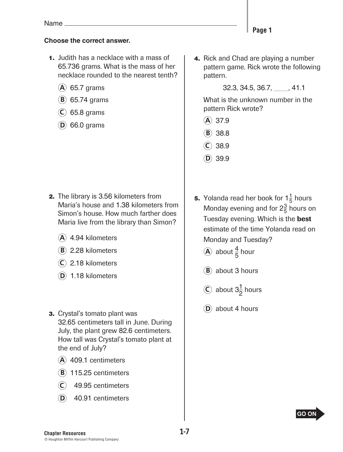### **Choose the correct answer.**

- **1.** Judith has a necklace with a mass of 65.736 grams. What is the mass of her necklace rounded to the nearest tenth?
	- **A** 65.7 grams
	- **B** 65.74 grams
	- **C** 65.8 grams
	- **D** 66.0 grams

- **2.** The library is 3.56 kilometers from Maria's house and 1.38 kilometers from Simon's house. How much farther does Maria live from the library than Simon?
	- **A** 4.94 kilometers
	- **B** 2.28 kilometers
	- **C** 2.18 kilometers
	- **D** 1.18 kilometers
- **3.** Crystal's tomato plant was 32.65 centimeters tall in June. During July, the plant grew 82.6 centimeters. How tall was Crystal's tomato plant at the end of July?
	- **A** 409.1 centimeters
	- **B** 115.25 centimeters
	- **C** 49.95 centimeters
	- **D** 40.91 centimeters

 **4.** Rick and Chad are playing a number pattern game. Rick wrote the following pattern.

32.3, 34.5, 36.7, \_\_\_\_, 41.1

 What is the unknown number in the pattern Rick wrote?

- **A** 37.9
- **B** 38.8
- $(C)$  38.9
- $(D)$  39.9
- **5.** Yolanda read her book for  $1\frac{1}{5}$  hours Monday evening and for  $2\frac{3}{5}$  hours on Tuesday evening. Which is the best estimate of the time Yolanda read on Monday and Tuesday?
	- **A** about  $\frac{4}{5}$  hour
	- **B** about 3 hours
	- $\odot$  about 3<sup>1</sup>/<sub>2</sub> hours
	- **D** about 4 hours

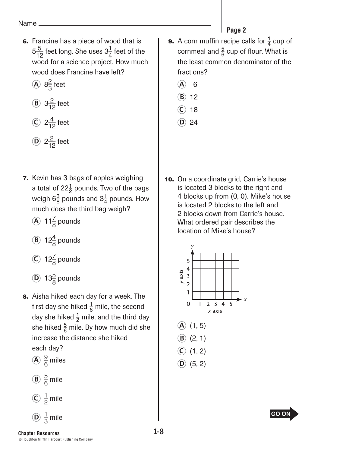- **6.** Francine has a piece of wood that is  $5\frac{5}{12}$  feet long. She uses  $3\frac{1}{4}$  feet of the wood for a science project. How much wood does Francine have left?
	- $\widehat{A}$  8<sup>2</sup> $\frac{2}{3}$  feet
	- **B**  $3\frac{2}{12}$  feet

$$
2\frac{4}{12}
$$
 feet

$$
D \t 2\frac{2}{12} \text{ feet}
$$

 **7.** Kevin has 3 bags of apples weighing a total of 22 $\frac{1}{2}$  pounds. Two of the bags weigh 6 $\frac{3}{8}$  pounds and 3 $\frac{1}{4}$  pounds. How much does the third bag weigh?

 $\widehat{A}$  11 $\frac{7}{8}$  pounds

- **B** 12 $\frac{4}{8}$  pounds
- $\widehat{C}$  12 $\frac{7}{8}$  pounds
- $\widehat{D}$  13 $\frac{5}{8}$  pounds
- **8.** Aisha hiked each day for a week. The first day she hiked  $\frac{1}{6}$  mile, the second day she hiked  $\frac{1}{2}$  mile, and the third day she hiked  $\frac{5}{6}$  mile. By how much did she increase the distance she hiked

each day? 
$$
\odot
$$
 9

$$
\widehat{A}\frac{9}{6}\text{ miles}
$$

$$
(B) \frac{5}{6} \text{ mile}
$$
  

$$
(C) \frac{1}{2} \text{ mile}
$$

$$
\frac{1}{2}
$$
 mile

## Page 2

- **9.** A corn muffin recipe calls for  $\frac{1}{4}$  cup of cornmeal and  $\frac{5}{6}$  cup of flour. What is the least common denominator of the fractions?
	- **A** 6
	- **B** 12
	- **C** 18
	- **D** 24
- **10.** On a coordinate grid, Carrie's house is located 3 blocks to the right and 4 blocks up from (0, 0). Mike's house is located 2 blocks to the left and 2 blocks down from Carrie's house. What ordered pair describes the location of Mike's house?



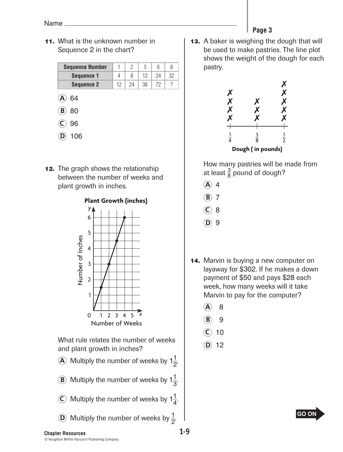Name

**11.** What is the unknown number in Sequence 2 in the chart?

| <b>Sequence Number</b> |  |  |  |
|------------------------|--|--|--|
| <b>Sequence 1</b>      |  |  |  |
| <b>Sequence 2</b>      |  |  |  |

- **A** 64
- **B** 80
- **C** 96
- **D** 106
- **12.** The graph shows the relationship between the number of weeks and plant growth in inches.



 What rule relates the number of weeks and plant growth in inches?

- **A** Multiply the number of weeks by  $1\frac{1}{2}$ .
- **B**) Multiply the number of weeks by  $1\frac{1}{3}$ .
- $\widehat{C}$  Multiply the number of weeks by  $1\frac{1}{4}$ .
- **D** Multiply the number of weeks by  $\frac{1}{2}$ .
- Page 3
- **Page 3 13.** A baker is weighing the dough that will be used to make pastries. The line plot shows the weight of the dough for each pastry.



 How many pastries will be made from at least  $\frac{3}{8}$  pound of dough?

- $(A)$  4
- $(B)$  7
- **C** 8
- **D** 9
- **14.** Marvin is buying a new computer on layaway for \$302. If he makes a down payment of \$50 and pays \$28 each week, how many weeks will it take Marvin to pay for the computer?
	- **A** 8
	- **B** 9
	- **C** 10
	- **D** 12



**Chapter Resources 1-9 1-9 1-9 Beginning of Wear Testimal Section**  $\mathbf{M}$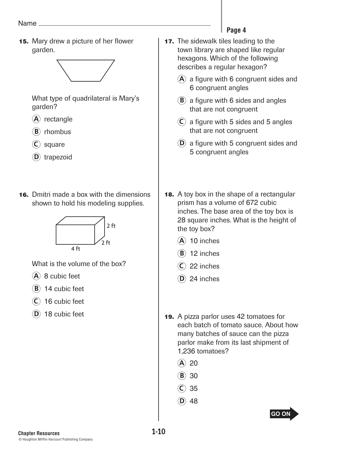**15.** Mary drew a picture of her flower garden.



 What type of quadrilateral is Mary's garden?

- **A** rectangle
- **B** rhombus
- **C** square
- **D** trapezoid
- **16.** Dmitri made a box with the dimensions shown to hold his modeling supplies.



What is the volume of the box?

- **A** 8 cubic feet
- **B** 14 cubic feet
- **C** 16 cubic feet
- **D** 18 cubic feet

#### Page 4 **Page 4**

- **17.** The sidewalk tiles leading to the town library are shaped like regular hexagons. Which of the following describes a regular hexagon?
	- **A** a figure with 6 congruent sides and 6 congruent angles
	- **B** a figure with 6 sides and angles that are not congruent
	- $(C)$  a figure with 5 sides and 5 angles that are not congruent
	- **D** a figure with 5 congruent sides and 5 congruent angles
- **18.** A toy box in the shape of a rectangular prism has a volume of 672 cubic inches. The base area of the toy box is 28 square inches. What is the height of the toy box?
	- **A** 10 inches
	- $(B)$  12 inches
	- $(C)$  22 inches
	- **D** 24 inches
- **19.** A pizza parlor uses 42 tomatoes for each batch of tomato sauce. About how many batches of sauce can the pizza parlor make from its last shipment of 1,236 tomatoes?
	- **A** 20
	- **B** 30
	- **C** 35
	- $(D)$  48

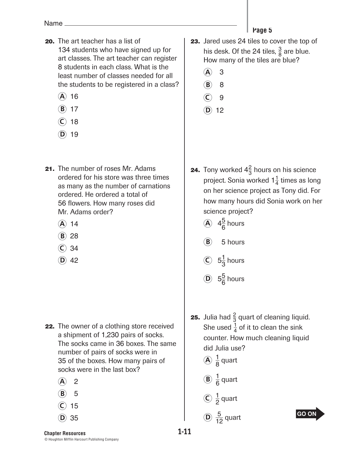- **20.** The art teacher has a list of 134 students who have signed up for art classes. The art teacher can register 8 students in each class. What is the least number of classes needed for all the students to be registered in a class?
	- **A** 16
	- **B** 17
	- **C** 18
	- $(D)$  19
- **21.** The number of roses Mr. Adams ordered for his store was three times as many as the number of carnations ordered. He ordered a total of 56 flowers. How many roses did Mr. Adams order?
	- **A** 14
	- **B** 28
	- **C** 34
	- $(D)$  42

- **22.** The owner of a clothing store received a shipment of 1,230 pairs of socks. The socks came in 36 boxes. The same number of pairs of socks were in 35 of the boxes. How many pairs of socks were in the last box?
	- **A** 2
	- **B** 5
	- **C** 15
	- $(D)$  35
- Page 5 **Page 5 23.** Jared uses 24 tiles to cover the top of
	- his desk. Of the 24 tiles,  $\frac{3}{8}$  are blue. How many of the tiles are blue?
	- **A** 3
	- **B** 8
	- **C** 9
	- **D** 12

- **24.** Tony worked  $4\frac{2}{3}$  hours on his science project. Sonia worked  $1\frac{1}{4}$  times as long on her science project as Tony did. For how many hours did Sonia work on her science project?
	- $\widehat{A}$  4 $\frac{5}{6}$  hours
	- **B** 5 hours
	- $\circled{c}$  5<sup>1</sup>/<sub>3</sub> hours
	- $\overline{D}$  5<sup>5</sup>/<sub>6</sub> hours
- **25.** Julia had  $\frac{2}{3}$  quart of cleaning liquid. She used  $\frac{1}{4}$  of it to clean the sink counter. How much cleaning liquid did Julia use?
	- $\widehat{A}$   $\frac{1}{8}$  quart
	- **B**)  $\frac{1}{7}$  $\frac{1}{6}$  quart
	- $\widehat{C}$   $\frac{1}{2}$  quart
	- $\overline{D}$   $\frac{5}{12}$  quart



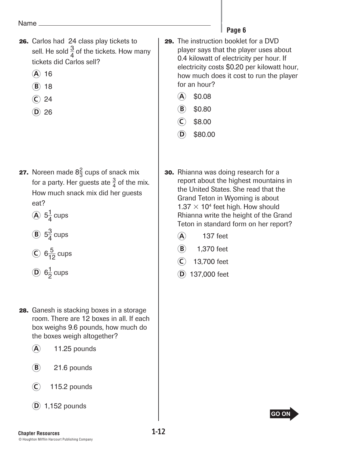- **26.** Carlos had 24 class play tickets to sell. He sold  $\frac{3}{4}$  of the tickets. How many tickets did Carlos sell?
	- **A** 16
	- **B** 18
	- **C** 24
	- $(D)$  26

- **27.** Noreen made  $8\frac{2}{3}$  cups of snack mix for a party. Her guests ate  $\frac{3}{4}$  of the mix. How much snack mix did her guests eat?
	- $\widehat{A}$  5 $\frac{1}{4}$  cups
	- **B**  $5^{\frac{3}{4}}$  cups
	- $\odot$  6 $\frac{5}{12}$  cups
	- $\overline{D}$  6<sup>1</sup>/<sub>2</sub> cups
- **28.** Ganesh is stacking boxes in a storage room. There are 12 boxes in all. If each box weighs 9.6 pounds, how much do the boxes weigh altogether?
	- **A** 11.25 pounds
	- **B** 21.6 pounds
	- **C** 115.2 pounds
	- **D** 1,152 pounds

## Page 6

- **Page 6 29.** The instruction booklet for a DVD player says that the player uses about 0.4 kilowatt of electricity per hour. If electricity costs \$0.20 per kilowatt hour, how much does it cost to run the player for an hour?
	- **A** \$0.08
	- $(B)$  \$0.80
	- **C** \$8.00
	- $(D)$  \$80.00
- **30.** Rhianna was doing research for a report about the highest mountains in the United States. She read that the Grand Teton in Wyoming is about  $1.37 \times 10^4$  feet high. How should Rhianna write the height of the Grand Teton in standard form on her report?
	- **A** 137 feet
	- **B** 1,370 feet
	- **C** 13,700 feet
	- **D** 137,000 feet

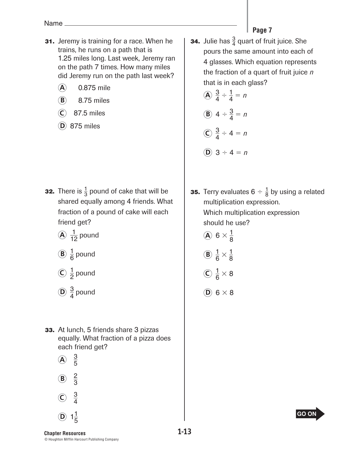- **31.** Jeremy is training for a race. When he trains, he runs on a path that is 1.25 miles long. Last week, Jeremy ran on the path 7 times. How many miles did Jeremy run on the path last week?
	- **A** 0.875 mile
	- **B** 8.75 miles
	- **C** 87.5 miles
	- **D** 875 miles

- **32.** There is  $\frac{1}{3}$  pound of cake that will be shared equally among 4 friends. What fraction of a pound of cake will each friend get?
	- $\widehat{A}$   $\frac{1}{12}$  pound
	- $\overline{B}$   $\frac{1}{6}$  pound
	- $\widehat{C}$   $\frac{1}{2}$  pound
	- $\widehat{D}$   $\frac{3}{4}$  pound
- **33.** At lunch, 5 friends share 3 pizzas equally. What fraction of a pizza does each friend get?
	- $\widehat{A}$   $\frac{3}{5}$
	- $\mathbf{B}$  $\frac{2}{3}$
	- $\mathcal{C}$  $\frac{3}{4}$

**D**  $1\frac{1}{5}$ 

- Page 7
- **34.** Julie has  $\frac{3}{4}$  quart of fruit juice. She pours the same amount into each of 4 glasses. Which equation represents the fraction of a quart of fruit juice *n*  that is in each glass?

\n- (A) 
$$
\frac{3}{4} \div \frac{1}{4} = n
$$
\n- (B)  $4 \div \frac{3}{4} = n$
\n- (C)  $\frac{3}{4} \div 4 = n$
\n- (D)  $3 \div 4 = n$
\n

- **35.** Terry evaluates  $6 \div \frac{1}{8}$  by using a related multiplication expression. Which multiplication expression should he use?
	- $\widehat{A}$  6  $\times \frac{1}{9}$ 8
	- **B**  $\frac{1}{6} \times \frac{1}{8}$ 8
	- $\bigodot \frac{1}{6} \times 8$
	- **D** 6 × 8



**Chapter Resources 1-13 Beginning of Testam Advances <b>1-13 Beginning of Personal Test** © Houghton Mifflin Harcourt Publishing Company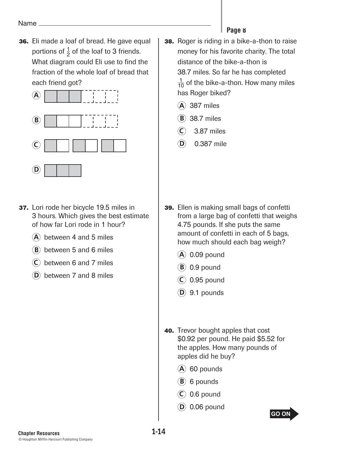**36.** Eli made a loaf of bread. He gave equal portions of  $\frac{1}{2}$  of the loaf to 3 friends. What diagram could Eli use to find the fraction of the whole loaf of bread that each friend got?



- **37.** Lori rode her bicycle 19.5 miles in 3 hours. Which gives the best estimate of how far Lori rode in 1 hour?
	- **A** between 4 and 5 miles
	- **B** between 5 and 6 miles
	- **C** between 6 and 7 miles
	- **D** between 7 and 8 miles
- **Page 8 38.** Roger is riding in a bike-a-thon to raise money for his favorite charity. The total distance of the bike-a-thon is 38.7 miles. So far he has completed  $\frac{1}{10}$  of the bike-a-thon. How many miles has Roger biked?
	- **A** 387 miles
	- **B** 38.7 miles
	- **C** 3.87 miles
	- **D** 0.387 mile

- **39.** Ellen is making small bags of confetti from a large bag of confetti that weighs 4.75 pounds. If she puts the same amount of confetti in each of 5 bags, how much should each bag weigh?
	- **A** 0.09 pound
	- **B** 0.9 pound
	- **C** 0.95 pound
	- $(D)$  9.1 pounds
- **40.** Trevor bought apples that cost \$0.92 per pound. He paid \$5.52 for the apples. How many pounds of apples did he buy?
	- **A** 60 pounds
	- **B** 6 pounds
	- **C** 0.6 pound
	- **D** 0.06 pound

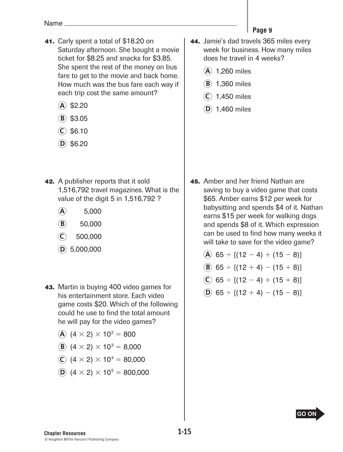- **41.** Carly spent a total of \$18.20 on Saturday afternoon. She bought a movie ticket for \$8.25 and snacks for \$3.85. She spent the rest of the money on bus fare to get to the movie and back home. How much was the bus fare each way if each trip cost the same amount?
	- **A** \$2.20
	- **B** \$3.05
	- **C** \$6.10
	- $(D)$  \$6.20
- **42.** A publisher reports that it sold 1,516,792 travel magazines. What is the value of the digit 5 in 1,516,792 ?
	- **A** 5,000
	- **B** 50,000
	- **C** 500,000
	- **D** 5,000,000
- **43.** Martin is buying 400 video games for his entertainment store. Each video game costs \$20. Which of the following could he use to find the total amount he will pay for the video games?
	- **A**  $(4 \times 2) \times 10^2 = 800$
	- **B**  $(4 \times 2) \times 10^3 = 8,000$
	- **C**  $(4 \times 2) \times 10^4 = 80,000$
	- **D**  $(4 \times 2) \times 10^5 = 800,000$
- Page 9
- **Page 9 44.** Jamie's dad travels 365 miles every week for business. How many miles does he travel in 4 weeks?
	- **A** 1,260 miles
	- **B** 1,360 miles
	- **C** 1,450 miles
	- **D** 1,460 miles

- **45.** Amber and her friend Nathan are saving to buy a video game that costs \$65. Amber earns \$12 per week for babysitting and spends \$4 of it. Nathan earns \$15 per week for walking dogs and spends \$8 of it. Which expression can be used to find how many weeks it will take to save for the video game?
	- $(A)$  65 ÷ [(12 4) + (15 8)]
	- **B** 65 ÷  $[(12 + 4) (15 + 8)]$
	- $\overline{C}$  65 ÷ [(12 4) + (15 + 8)]
	- **D** 65 ÷ [(12 + 4) (15 8)]

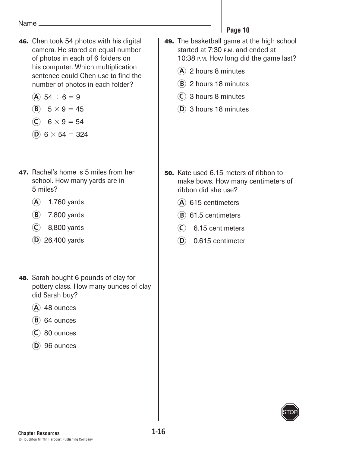- **46.** Chen took 54 photos with his digital camera. He stored an equal number of photos in each of 6 folders on his computer. Which multiplication sentence could Chen use to find the number of photos in each folder?
	- **A**  $54 \div 6 = 9$

$$
\textcircled{\textbf{B}} \quad 5 \times 9 = 45
$$

$$
6 \times 9 = 54
$$

- **D**  $6 \times 54 = 324$
- **47.** Rachel's home is 5 miles from her school. How many yards are in 5 miles?
	- **A** 1,760 yards
	- **B** 7,800 yards
	- **C** 8,800 yards
	- **D** 26,400 yards
- **48.** Sarah bought 6 pounds of clay for pottery class. How many ounces of clay did Sarah buy?
	- **A** 48 ounces
	- $(B)$  64 ounces
	- **C** 80 ounces
	- **D** 96 ounces

# Page 10

- **Page 10 49.** The basketball game at the high school started at 7:30 p.m. and ended at 10:38 P.M. How long did the game last?
	- **A** 2 hours 8 minutes
	- **B** 2 hours 18 minutes
	- **C** 3 hours 8 minutes
	- **D** 3 hours 18 minutes

- **50.** Kate used 6.15 meters of ribbon to make bows. How many centimeters of ribbon did she use?
	- **A** 615 centimeters
	- **B** 61.5 centimeters
	- **C** 6.15 centimeters
	- **D** 0.615 centimeter

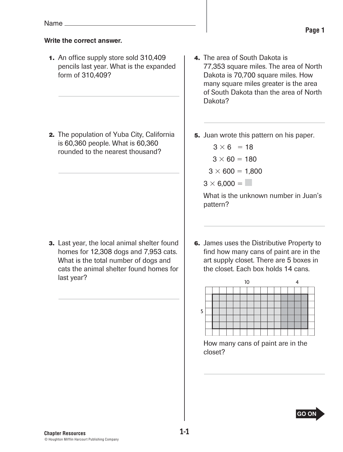### **Write the correct answer.**

 **1.** An office supply store sold 310,409 pencils last year. What is the expanded form of 310,409?

 **2.** The population of Yuba City, California is 60,360 people. What is 60,360 rounded to the nearest thousand?

 **3.** Last year, the local animal shelter found homes for 12,308 dogs and 7,953 cats. What is the total number of dogs and cats the animal shelter found homes for last year?

 **4.** The area of South Dakota is 77,353 square miles. The area of North Dakota is 70,700 square miles. How many square miles greater is the area of South Dakota than the area of North Dakota?

 **5.** Juan wrote this pattern on his paper.

 $3 \times 6 = 18$  $3 \times 60 = 180$  $3 \times 600 = 1,800$ 

 $3 \times 6,000 =$ 

 What is the unknown number in Juan's pattern?

 **6.** James uses the Distributive Property to find how many cans of paint are in the art supply closet. There are 5 boxes in the closet. Each box holds 14 cans.



 How many cans of paint are in the closet?

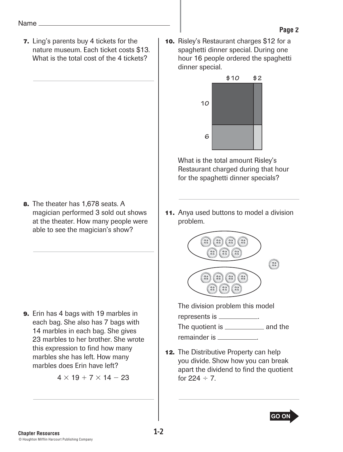**7.** Ling's parents buy 4 tickets for the nature museum. Each ticket costs \$13. What is the total cost of the 4 tickets?

 **8.** The theater has 1,678 seats. A magician performed 3 sold out shows at the theater. How many people were able to see the magician's show?

 **9.** Erin has 4 bags with 19 marbles in each bag. She also has 7 bags with 14 marbles in each bag. She gives 23 marbles to her brother. She wrote this expression to find how many marbles she has left. How many marbles does Erin have left?

 $4 \times 19 + 7 \times 14 - 23$ 

 **10.** Risley's Restaurant charges \$12 for a spaghetti dinner special. During one hour 16 people ordered the spaghetti dinner special. **Page 2**



 What is the total amount Risley's Restaurant charged during that hour for the spaghetti dinner specials?

**11.** Anya used buttons to model a division problem.



 The division problem this model represents is \_\_\_\_\_\_\_\_\_\_\_. The quotient is \_\_\_\_\_\_\_\_\_\_\_\_\_\_ and the

remainder is **substantial** 

**12.** The Distributive Property can help you divide. Show how you can break apart the dividend to find the quotient for  $224 \div 7$ .

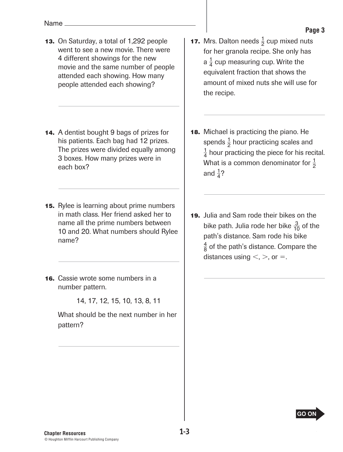- **13.** On Saturday, a total of 1,292 people went to see a new movie. There were 4 different showings for the new movie and the same number of people attended each showing. How many people attended each showing?
- **14.** A dentist bought 9 bags of prizes for his patients. Each bag had 12 prizes. The prizes were divided equally among 3 boxes. How many prizes were in each box?
- **15.** Rylee is learning about prime numbers in math class. Her friend asked her to name all the prime numbers between 10 and 20. What numbers should Rylee name?
- **16.** Cassie wrote some numbers in a number pattern.

14, 17, 12, 15, 10, 13, 8, 11

 What should be the next number in her pattern?

- Page 3
- **17.** Mrs. Dalton needs  $\frac{1}{2}$  cup mixed nuts for her granola recipe. She only has a  $\frac{1}{4}$  cup measuring cup. Write the equivalent fraction that shows the amount of mixed nuts she will use for the recipe.
- **18.** Michael is practicing the piano. He spends  $\frac{1}{2}$  hour practicing scales and  $\frac{1}{4}$  hour practicing the piece for his recital. What is a common denominator for  $\frac{1}{2}$ and  $\frac{1}{4}$ ?
- **19.** Julia and Sam rode their bikes on the bike path. Julia rode her bike  $\frac{3}{10}$  of the path's distance. Sam rode his bike  $\frac{4}{8}$  of the path's distance. Compare the distances using  $\lt$ ,  $>$ , or  $=$ .

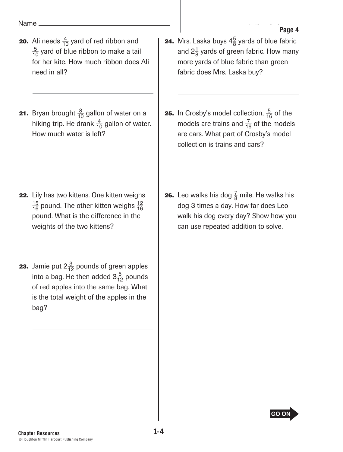- **20.** Ali needs  $\frac{4}{10}$  yard of red ribbon and  $\frac{5}{10}$  yard of blue ribbon to make a tail for her kite. How much ribbon does Ali need in all?
- **21.** Bryan brought  $\frac{8}{10}$  gallon of water on a hiking trip. He drank  $\frac{4}{10}$  gallon of water. How much water is left?

- **22.** Lily has two kittens. One kitten weighs  $\frac{15}{16}$  pound. The other kitten weighs  $\frac{12}{16}$ pound. What is the difference in the weights of the two kittens?
- **23.** Jamie put  $2\frac{3}{12}$  pounds of green apples into a bag. He then added  $3\frac{5}{12}$  pounds of red apples into the same bag. What is the total weight of the apples in the bag?
- **24.** Mrs. Laska buys  $4\frac{5}{8}$  yards of blue fabric and 2 $\frac{1}{8}$  yards of green fabric. How many more yards of blue fabric than green fabric does Mrs. Laska buy?
- **25.** In Crosby's model collection,  $\frac{5}{16}$  of the models are trains and  $\frac{7}{16}$  of the models are cars. What part of Crosby's model collection is trains and cars?
- **26.** Leo walks his dog  $\frac{7}{8}$  mile. He walks his dog 3 times a day. How far does Leo walk his dog every day? Show how you can use repeated addition to solve.

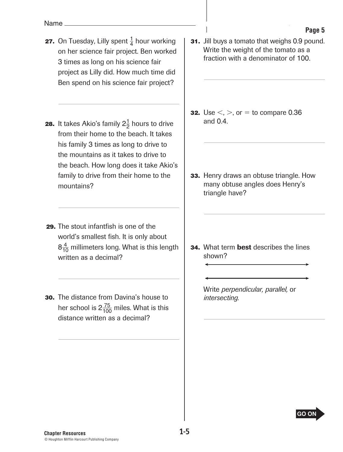- **27.** On Tuesday, Lilly spent  $\frac{1}{4}$  hour working on her science fair project. Ben worked 3 times as long on his science fair project as Lilly did. How much time did Ben spend on his science fair project?
- **28.** It takes Akio's family  $2\frac{1}{2}$  hours to drive from their home to the beach. It takes his family 3 times as long to drive to the mountains as it takes to drive to the beach. How long does it take Akio's family to drive from their home to the mountains?
- **29.** The stout infantfish is one of the world's smallest fish. It is only about  $8\frac{4}{10}$  millimeters long. What is this length written as a decimal?
- **30.** The distance from Davina's house to her school is 2 $\frac{75}{100}$  miles. What is this distance written as a decimal?

 **31.** Jill buys a tomato that weighs 0.9 pound. Write the weight of the tomato as a fraction with a denominator of 100.

- **32.** Use  $\leq, \geq,$  or  $=$  to compare 0.36 and 0.4.
- **33.** Henry draws an obtuse triangle. How many obtuse angles does Henry's triangle have?

**34.** What term **best** describes the lines shown?

> Write *perpendicular, parallel,* or *intersecting.*



Page 5 **Page 5**